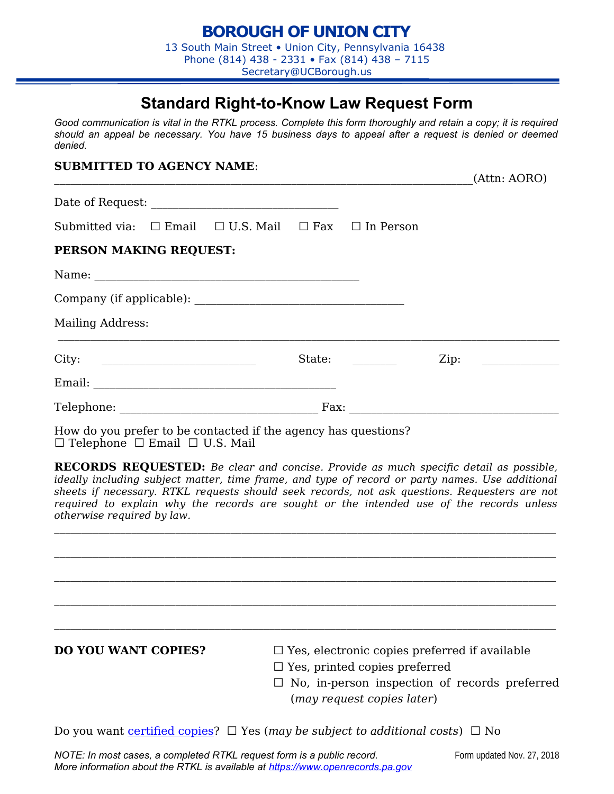## **Standard Right-to-Know Law Request Form**

*Good communication is vital in the RTKL process. Complete this form thoroughly and retain a copy; it is required should an appeal be necessary. You have 15 business days to appeal after a request is denied or deemed denied.*

## **SUBMITTED TO AGENCY NAME**:

| Submitted via: $\Box$ Email $\Box$ U.S. Mail $\Box$ Fax $\Box$ In Person |        |      |                                                                                                                      |
|--------------------------------------------------------------------------|--------|------|----------------------------------------------------------------------------------------------------------------------|
| PERSON MAKING REQUEST:                                                   |        |      |                                                                                                                      |
|                                                                          |        |      |                                                                                                                      |
|                                                                          |        |      |                                                                                                                      |
| <b>Mailing Address:</b>                                                  |        |      |                                                                                                                      |
|                                                                          | State: | Zip: | <u> 1986 - Jan Barbara III, prima postala prima prima prima prima prima prima prima prima prima prima prima prim</u> |
|                                                                          |        |      |                                                                                                                      |
|                                                                          |        |      |                                                                                                                      |

How do you prefer to be contacted if the agency has questions? □ Telephone □ Email □ U.S. Mail

**RECORDS REQUESTED:** *Be clear and concise. Provide as much specific detail as possible, ideally including subject matter, time frame, and type of record or party names. Use additional sheets if necessary. RTKL requests should seek records, not ask questions. Requesters are not required to explain why the records are sought or the intended use of the records unless otherwise required by law.*

- **DO YOU WANT COPIES?** □ Yes, electronic copies preferred if available
	- $\square$  Yes, printed copies preferred
	- $\square$  No, in-person inspection of records preferred (*may request copies later*)

Do you want [certified copies](https://www.openrecords.pa.gov/Documents/RTKL/FormCertification.pdf)?  $\Box$  Yes (may be subject to additional costs)  $\Box$  No

 $(A$ ttn: AORO)